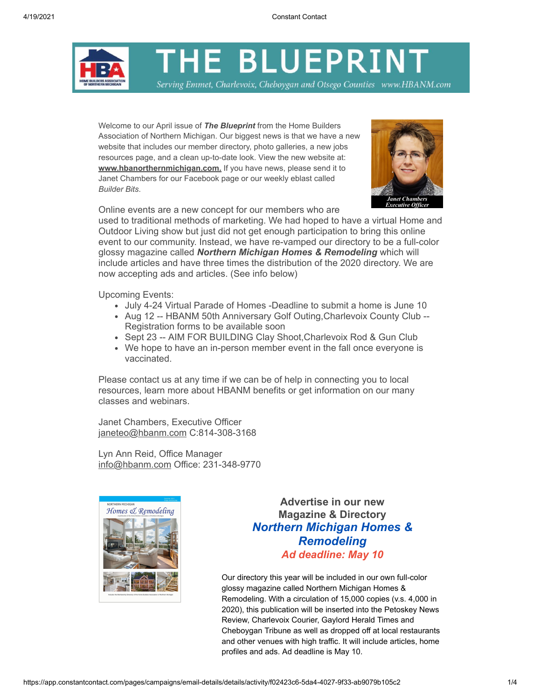THE BLUEPRINT

Serving Emmet, Charlevoix, Cheboygan and Otsego Counties www.HBANM.com

Welcome to our April issue of *The Blueprint* from the Home Builders Association of Northern Michigan. Our biggest news is that we have a new website that includes our member directory, photo galleries, a new jobs resources page, and a clean up-to-date look. View the new website at: **[www.hbanorthernmichigan.com.](http://www.hbanorthernmichigan.com/)** If you have news, please send it to Janet Chambers for our Facebook page or our weekly eblast called *Builder Bits*.



Online events are a new concept for our members who are

used to traditional methods of marketing. We had hoped to have a virtual Home and Outdoor Living show but just did not get enough participation to bring this online event to our community. Instead, we have re-vamped our directory to be a full-color glossy magazine called *Northern Michigan Homes & Remodeling* which will include articles and have three times the distribution of the 2020 directory. We are now accepting ads and articles. (See info below)

Upcoming Events:

- July 4-24 Virtual Parade of Homes -Deadline to submit a home is June 10
- Aug 12 -- HBANM 50th Anniversary Golf Outing,Charlevoix County Club -- Registration forms to be available soon
- Sept 23 -- AIM FOR BUILDING Clay Shoot, Charlevoix Rod & Gun Club
- We hope to have an in-person member event in the fall once everyone is vaccinated.

Please contact us at any time if we can be of help in connecting you to local resources, learn more about HBANM benefits or get information on our many classes and webinars.

Janet Chambers, Executive Officer [janeteo@hbanm.com](mailto:janeteo@hbanm.com) C:814-308-3168

Lyn Ann Reid, Office Manager [info@hbanm.com](mailto:info@hbanm.com) Office: 231-348-9770



**Advertise in our new Magazine & Directory** *Northern Michigan Homes & Remodeling Ad deadline: May 10*

Our directory this year will be included in our own full-color glossy magazine called Northern Michigan Homes & Remodeling. With a circulation of 15,000 copies (v.s. 4,000 in 2020), this publication will be inserted into the Petoskey News Review, Charlevoix Courier, Gaylord Herald Times and Cheboygan Tribune as well as dropped off at local restaurants and other venues with high traffic. It will include articles, home profiles and ads. Ad deadline is May 10.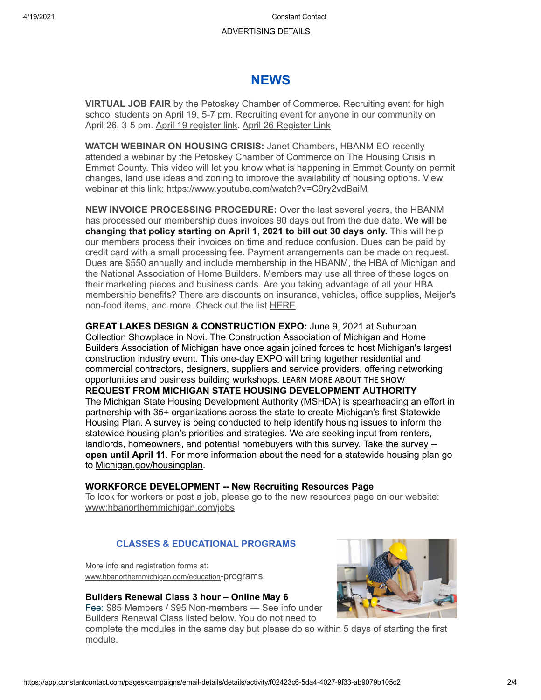4/19/2021 Constant Contact

# [ADVERTISING DETAILS](https://5a6c3482-76e1-421b-becd-125b0bcdcfc2.filesusr.com/ugd/4e3cca_b70fce59cf4d41fcb41dc80afefa5e01.pdf)

# **NEWS**

**VIRTUAL JOB FAIR** by the Petoskey Chamber of Commerce. Recruiting event for high school students on April 19, 5-7 pm. Recruiting event for anyone in our community on April 26, 3-5 pm. [April 19 register link.](http://www.petoskeychamber.com/events/details/virtual-job-fair-april-19-2021-employer-registration-link-24094) [April 26 Register Link](http://www.petoskeychamber.com/events/details/virtual-job-fair-april-26-2021-employer-registration-link-24096)

**WATCH WEBINAR ON HOUSING CRISIS:** Janet Chambers, HBANM EO recently attended a webinar by the Petoskey Chamber of Commerce on The Housing Crisis in Emmet County. This video will let you know what is happening in Emmet County on permit changes, land use ideas and zoning to improve the availability of housing options. View webinar at this link: <https://www.youtube.com/watch?v=C9ry2vdBaiM>

**NEW INVOICE PROCESSING PROCEDURE:** Over the last several years, the HBANM has processed our membership dues invoices 90 days out from the due date. We will be **changing that policy starting on April 1, 2021 to bill out 30 days only.** This will help our members process their invoices on time and reduce confusion. Dues can be paid by credit card with a small processing fee. Payment arrangements can be made on request. Dues are \$550 annually and include membership in the HBANM, the HBA of Michigan and the National Association of Home Builders. Members may use all three of these logos on their marketing pieces and business cards. Are you taking advantage of all your HBA membership benefits? There are discounts on insurance, vehicles, office supplies, Meijer's non-food items, and more. Check out the list [HERE](https://www.hbanorthernmichigan.com/membership)

**GREAT LAKES DESIGN & CONSTRUCTION EXPO:** June 9, 2021 at Suburban Collection Showplace in Novi. The Construction Association of Michigan and Home Builders Association of Michigan have once again joined forces to host Michigan's largest construction industry event. This one-day EXPO will bring together residential and commercial contractors, designers, suppliers and service providers, offering networking opportunities and business building workshops. [LEARN MORE ABOUT THE SHOW](https://miconstructionexpo.com/) **REQUEST FROM MICHIGAN STATE HOUSING DEVELOPMENT AUTHORITY** The Michigan State Housing Development Authority (MSHDA) is spearheading an effort in partnership with 35+ organizations across the state to create Michigan's first Statewide Housing Plan. A survey is being conducted to help identify housing issues to inform the statewide housing plan's priorities and strategies. We are seeking input from renters, landlords, homeowners, and potential homebuyers with this survey. [Take the survey -](https://www.surveymonkey.com/r/MIHousingSurvey)**[open until April 11](https://gcc02.safelinks.protection.outlook.com/?url=https%3A%2F%2Fwww.surveymonkey.com%2Fr%2FMIHousingSurvey&data=04%7C01%7CJacksonE17%40michigan.gov%7C65533d25125f47a4e2e308d8f4648359%7Cd5fb7087377742ad966a892ef47225d1%7C0%7C0%7C637528059854252931%7CUnknown%7CTWFpbGZsb3d8eyJWIjoiMC4wLjAwMDAiLCJQIjoiV2luMzIiLCJBTiI6Ik1haWwiLCJXVCI6Mn0%3D%7C1000&sdata=Z2jfH8cyXofSMC2ayQhYm5L6%2FVm5XPTXGcLXoPjuzT4%3D&reserved=0)**. For more information about the need for a statewide housing plan go to [Michigan.gov/housingplan](https://gcc02.safelinks.protection.outlook.com/?url=https%3A%2F%2Fwww.michigan.gov%2Fmshda%2F0%2C4641%2C7-141-5587_82313---%2C00.html&data=04%7C01%7CJacksonE17%40michigan.gov%7C65533d25125f47a4e2e308d8f4648359%7Cd5fb7087377742ad966a892ef47225d1%7C0%7C0%7C637528059854252931%7CUnknown%7CTWFpbGZsb3d8eyJWIjoiMC4wLjAwMDAiLCJQIjoiV2luMzIiLCJBTiI6Ik1haWwiLCJXVCI6Mn0%3D%7C1000&sdata=emAJ354Q4YNh9lABw2T99DvXoJVxx9vHDNItgwwGxkU%3D&reserved=0).

# **WORKFORCE DEVELOPMENT -- New Recruiting Resources Page**

To look for workers or post a job, please go to the new resources page on our website: www:hbanorthernmichigan.com/jobs

# **CLASSES & EDUCATIONAL PROGRAMS**

More info and registration forms at: [www.hbanorthernmichigan.com/education](http://www.hbanorthernmichigan.com/education-programs)-programs

# **Builders Renewal Class 3 hour – Online May 6**

Fee: \$85 Members / \$95 Non-members — See info under Builders Renewal Class listed below. You do not need to



complete the modules in the same day but please do so within 5 days of starting the first module.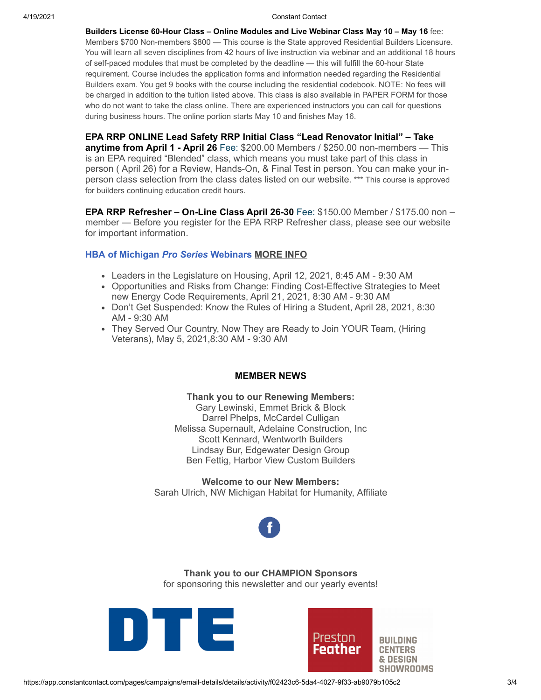#### 4/19/2021 Constant Contact

**Builders License 60-Hour Class – Online Modules and Live Webinar Class May 10 – May 16** fee: Members \$700 Non-members \$800 — This course is the State approved Residential Builders Licensure. You will learn all seven disciplines from 42 hours of live instruction via webinar and an additional 18 hours of self-paced modules that must be completed by the deadline — this will fulfill the 60-hour State requirement. Course includes the application forms and information needed regarding the Residential Builders exam. You get 9 books with the course including the residential codebook. NOTE: No fees will be charged in addition to the tuition listed above. This class is also available in PAPER FORM for those who do not want to take the class online. There are experienced instructors you can call for questions during business hours. The online portion starts May 10 and finishes May 16.

**EPA RRP ONLINE Lead Safety RRP Initial Class "Lead Renovator Initial" – Take anytime from April 1 - April 26** Fee: \$200.00 Members / \$250.00 non-members — This is an EPA required "Blended" class, which means you must take part of this class in person ( April 26) for a Review, Hands-On, & Final Test in person. You can make your inperson class selection from the class dates listed on our website. \*\*\* This course is approved for builders continuing education credit hours.

**EPA RRP Refresher – On-Line Class April 26-30** Fee: \$150.00 Member / \$175.00 non – member — Before you register for the EPA RRP Refresher class, please see our website for important information.

#### **HBA of Michigan** *Pro Series* **Webinars [MORE INFO](https://hbaofmichigan.com/#/education/hba-pro-series)**

- Leaders in the Legislature on Housing, April 12, 2021, 8:45 AM 9:30 AM
- Opportunities and Risks from Change: Finding Cost-Effective Strategies to Meet new Energy Code Requirements, April 21, 2021, 8:30 AM - 9:30 AM
- Don't Get Suspended: Know the Rules of Hiring a Student, April 28, 2021, 8:30 AM - 9:30 AM
- They Served Our Country, Now They are Ready to Join YOUR Team, (Hiring Veterans), May 5, 2021,8:30 AM - 9:30 AM

#### **MEMBER NEWS**

**Thank you to our Renewing Members:**

Gary Lewinski, Emmet Brick & Block Darrel Phelps, McCardel Culligan Melissa Supernault, Adelaine Construction, Inc Scott Kennard, Wentworth Builders Lindsay Bur, Edgewater Design Group Ben Fettig, Harbor View Custom Builders

#### **Welcome to our New Members:**

Sarah Ulrich, NW Michigan Habitat for Humanity, Affiliate



**Thank you to our CHAMPION Sponsors** for sponsoring this newsletter and our yearly events!